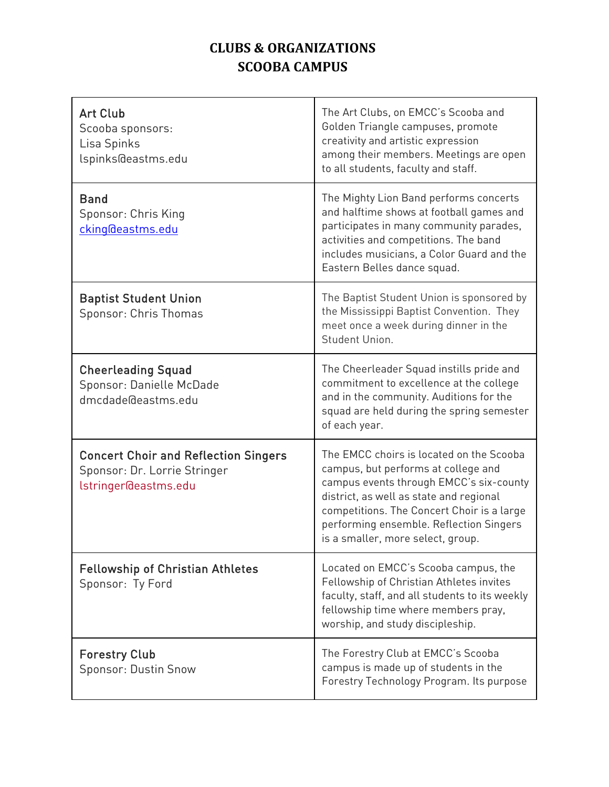## **CLUBS & ORGANIZATIONS SCOOBA CAMPUS**

 $\overline{\phantom{a}}$ 

| <b>Art Club</b><br>Scooba sponsors:<br>Lisa Spinks<br>lspinks@eastms.edu                            | The Art Clubs, on EMCC's Scooba and<br>Golden Triangle campuses, promote<br>creativity and artistic expression<br>among their members. Meetings are open<br>to all students, faculty and staff.                                                                                                     |
|-----------------------------------------------------------------------------------------------------|-----------------------------------------------------------------------------------------------------------------------------------------------------------------------------------------------------------------------------------------------------------------------------------------------------|
| <b>Band</b><br>Sponsor: Chris King<br>cking@eastms.edu                                              | The Mighty Lion Band performs concerts<br>and halftime shows at football games and<br>participates in many community parades,<br>activities and competitions. The band<br>includes musicians, a Color Guard and the<br>Eastern Belles dance squad.                                                  |
| <b>Baptist Student Union</b><br>Sponsor: Chris Thomas                                               | The Baptist Student Union is sponsored by<br>the Mississippi Baptist Convention. They<br>meet once a week during dinner in the<br>Student Union.                                                                                                                                                    |
| <b>Cheerleading Squad</b><br>Sponsor: Danielle McDade<br>dmcdade@eastms.edu                         | The Cheerleader Squad instills pride and<br>commitment to excellence at the college<br>and in the community. Auditions for the<br>squad are held during the spring semester<br>of each year.                                                                                                        |
| <b>Concert Choir and Reflection Singers</b><br>Sponsor: Dr. Lorrie Stringer<br>lstringer@eastms.edu | The EMCC choirs is located on the Scooba<br>campus, but performs at college and<br>campus events through EMCC's six-county<br>district, as well as state and regional<br>competitions. The Concert Choir is a large<br>performing ensemble. Reflection Singers<br>is a smaller, more select, group. |
| <b>Fellowship of Christian Athletes</b><br>Sponsor: Ty Ford                                         | Located on EMCC's Scooba campus, the<br>Fellowship of Christian Athletes invites<br>faculty, staff, and all students to its weekly<br>fellowship time where members pray,<br>worship, and study discipleship.                                                                                       |
| <b>Forestry Club</b><br>Sponsor: Dustin Snow                                                        | The Forestry Club at EMCC's Scooba<br>campus is made up of students in the<br>Forestry Technology Program. Its purpose                                                                                                                                                                              |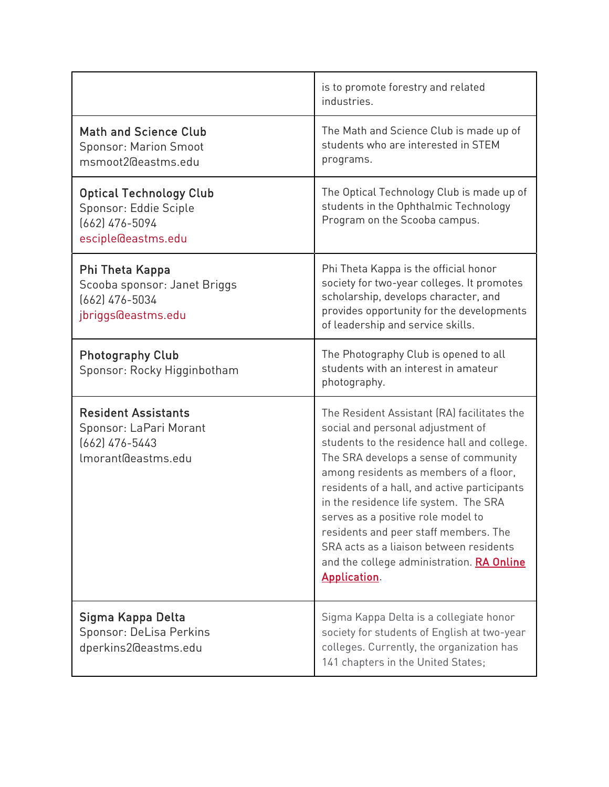|                                                                                                 | is to promote forestry and related<br>industries.                                                                                                                                                                                                                                                                                                                                                                                                                                                          |
|-------------------------------------------------------------------------------------------------|------------------------------------------------------------------------------------------------------------------------------------------------------------------------------------------------------------------------------------------------------------------------------------------------------------------------------------------------------------------------------------------------------------------------------------------------------------------------------------------------------------|
| Math and Science Club<br>Sponsor: Marion Smoot<br>msmoot2@eastms.edu                            | The Math and Science Club is made up of<br>students who are interested in STEM<br>programs.                                                                                                                                                                                                                                                                                                                                                                                                                |
| <b>Optical Technology Club</b><br>Sponsor: Eddie Sciple<br>(662) 476-5094<br>esciple@eastms.edu | The Optical Technology Club is made up of<br>students in the Ophthalmic Technology<br>Program on the Scooba campus.                                                                                                                                                                                                                                                                                                                                                                                        |
| Phi Theta Kappa<br>Scooba sponsor: Janet Briggs<br>(662) 476-5034<br>jbriggs@eastms.edu         | Phi Theta Kappa is the official honor<br>society for two-year colleges. It promotes<br>scholarship, develops character, and<br>provides opportunity for the developments<br>of leadership and service skills.                                                                                                                                                                                                                                                                                              |
| <b>Photography Club</b><br>Sponsor: Rocky Higginbotham                                          | The Photography Club is opened to all<br>students with an interest in amateur<br>photography.                                                                                                                                                                                                                                                                                                                                                                                                              |
| <b>Resident Assistants</b><br>Sponsor: LaPari Morant<br>$(662)$ 476-5443<br>Imorant@eastms.edu  | The Resident Assistant (RA) facilitates the<br>social and personal adjustment of<br>students to the residence hall and college.<br>The SRA develops a sense of community<br>among residents as members of a floor,<br>residents of a hall, and active participants<br>in the residence life system. The SRA<br>serves as a positive role model to<br>residents and peer staff members. The<br>SRA acts as a liaison between residents<br>and the college administration. RA Online<br><b>Application</b> . |
| Sigma Kappa Delta<br>Sponsor: DeLisa Perkins<br>dperkins2@eastms.edu                            | Sigma Kappa Delta is a collegiate honor<br>society for students of English at two-year<br>colleges. Currently, the organization has<br>141 chapters in the United States;                                                                                                                                                                                                                                                                                                                                  |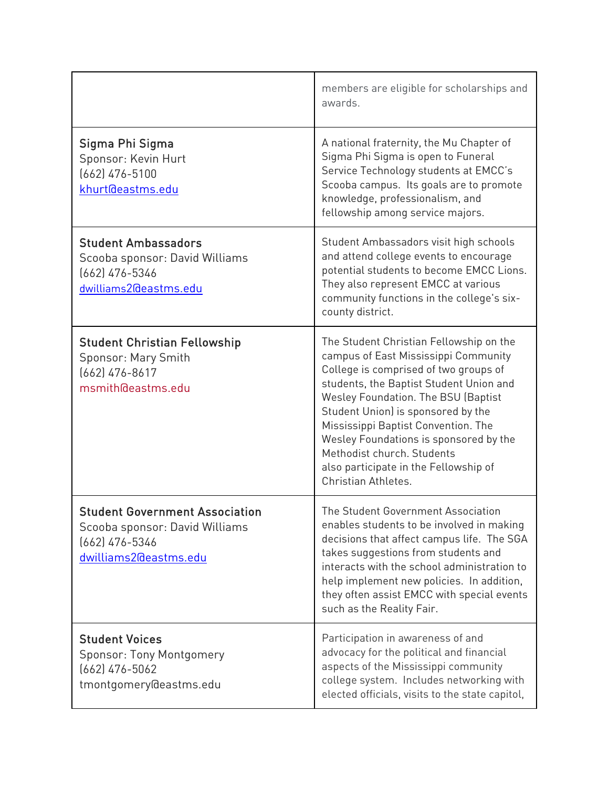|                                                                                                                      | members are eligible for scholarships and<br>awards.                                                                                                                                                                                                                                                                                                                                                                            |
|----------------------------------------------------------------------------------------------------------------------|---------------------------------------------------------------------------------------------------------------------------------------------------------------------------------------------------------------------------------------------------------------------------------------------------------------------------------------------------------------------------------------------------------------------------------|
| Sigma Phi Sigma<br>Sponsor: Kevin Hurt<br>$(662)$ 476-5100<br>khurt@eastms.edu                                       | A national fraternity, the Mu Chapter of<br>Sigma Phi Sigma is open to Funeral<br>Service Technology students at EMCC's<br>Scooba campus. Its goals are to promote<br>knowledge, professionalism, and<br>fellowship among service majors.                                                                                                                                                                                       |
| <b>Student Ambassadors</b><br>Scooba sponsor: David Williams<br>(662) 476-5346<br>dwilliams2@eastms.edu              | Student Ambassadors visit high schools<br>and attend college events to encourage<br>potential students to become EMCC Lions.<br>They also represent EMCC at various<br>community functions in the college's six-<br>county district.                                                                                                                                                                                            |
| <b>Student Christian Fellowship</b><br>Sponsor: Mary Smith<br>$(662)$ 476-8617<br>msmith@eastms.edu                  | The Student Christian Fellowship on the<br>campus of East Mississippi Community<br>College is comprised of two groups of<br>students, the Baptist Student Union and<br>Wesley Foundation. The BSU (Baptist<br>Student Union) is sponsored by the<br>Mississippi Baptist Convention. The<br>Wesley Foundations is sponsored by the<br>Methodist church. Students<br>also participate in the Fellowship of<br>Christian Athletes. |
| <b>Student Government Association</b><br>Scooba sponsor: David Williams<br>$(662)$ 476-5346<br>dwilliams2@eastms.edu | The Student Government Association<br>enables students to be involved in making<br>decisions that affect campus life. The SGA<br>takes suggestions from students and<br>interacts with the school administration to<br>help implement new policies. In addition,<br>they often assist EMCC with special events<br>such as the Reality Fair.                                                                                     |
| <b>Student Voices</b><br><b>Sponsor: Tony Montgomery</b><br>$(662)$ 476-5062<br>tmontgomery@eastms.edu               | Participation in awareness of and<br>advocacy for the political and financial<br>aspects of the Mississippi community<br>college system. Includes networking with<br>elected officials, visits to the state capitol,                                                                                                                                                                                                            |